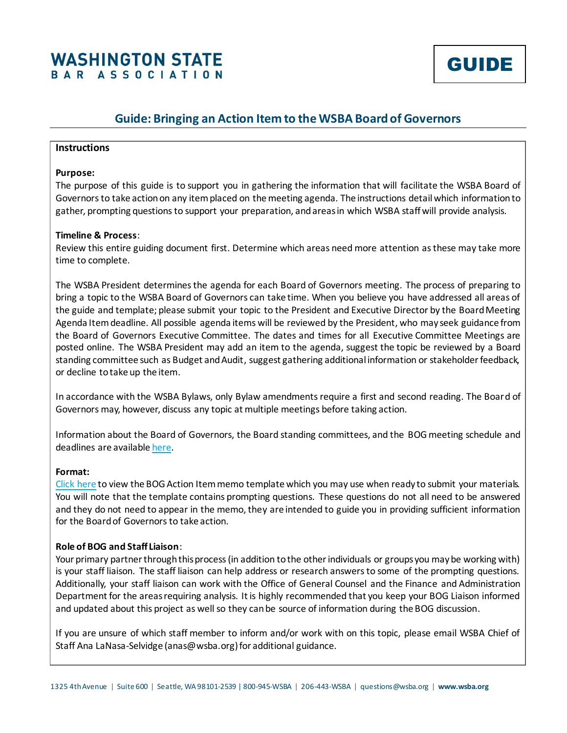# **WASHINGTON STATE** BAR ASSOCIATION

## **Guide: Bringing an Action Item to the WSBA Board of Governors**

## **Instructions**

#### **Purpose:**

The purpose of this guide is to support you in gathering the information that will facilitate the WSBA Board of Governors to take action on any item placed on the meeting agenda. The instructions detailwhich information to gather, prompting questions to support your preparation, and areas in which WSBA staff will provide analysis.

#### **Timeline & Process**:

Review this entire guiding document first. Determine which areas need more attention asthese may take more time to complete.

The WSBA President determines the agenda for each Board of Governors meeting. The process of preparing to bring a topic to the WSBA Board of Governors can take time. When you believe you have addressed all areas of the guide and template; please submit your topic to the President and Executive Director by the Board Meeting Agenda Item deadline. All possible agenda items will be reviewed by the President, who may seek guidance from the Board of Governors Executive Committee. The dates and times for all Executive Committee Meetings are posted online. The WSBA President may add an item to the agenda, suggest the topic be reviewed by a Board standing committee such as Budget and Audit, suggest gathering additional information or stakeholder feedback, or decline to take up the item.

In accordance with the WSBA Bylaws, only Bylaw amendments require a first and second reading. The Board of Governors may, however, discuss any topic at multiple meetings before taking action.

Information about the Board of Governors, the Board standing committees, and the BOG meeting schedule and deadlines are availabl[e here.](https://www.wsba.org/about-wsba/who-we-are/board-of-governors)

#### **Format:**

[Click here](https://www.wsba.org/docs/default-source/legal-community/volunteer/volunteer-toolbox/bog-book-cover-memo-template_12-1-21_fy22_final.docx?sfvrsn=df4d16f1_4) to view the BOG Action Item memo template which you may use when ready to submit your materials. You will note that the template contains prompting questions. These questions do not all need to be answered and they do not need to appear in the memo, they are intended to guide you in providing sufficient information for the Board of Governors to take action.

#### **Role of BOG and Staff Liaison**:

Your primary partner through this process (in addition to the other individuals or groups you may be working with) is your staff liaison. The staff liaison can help address or research answers to some of the prompting questions. Additionally, your staff liaison can work with the Office of General Counsel and the Finance and Administration Department for the areas requiring analysis. It is highly recommended that you keep your BOG Liaison informed and updated about this project as well so they can be source of information during the BOG discussion.

If you are unsure of which staff member to inform and/or work with on this topic, please email WSBA Chief of Staff Ana LaNasa-Selvidge (anas@wsba.org) for additional guidance.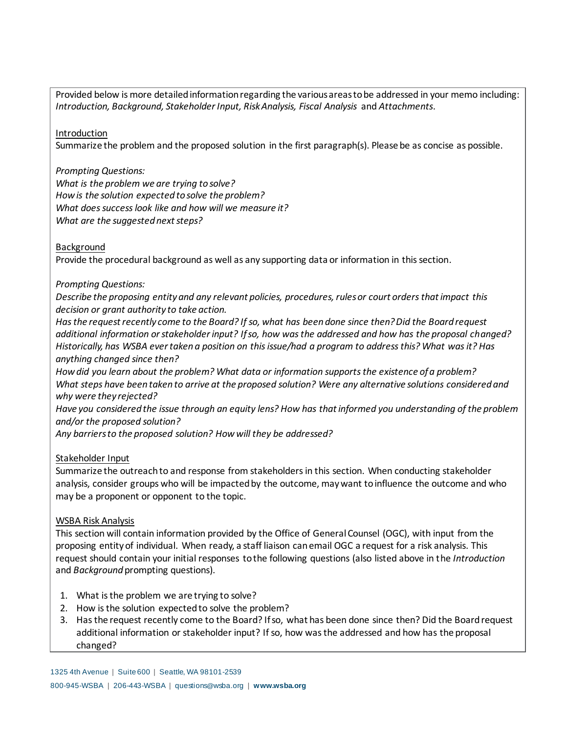Provided below is more detailed information regarding the various areas to be addressed in your memo including: *Introduction, Background, Stakeholder Input, Risk Analysis, Fiscal Analysis* and *Attachments*.

## Introduction

Summarize the problem and the proposed solution in the first paragraph(s). Please be as concise as possible.

*Prompting Questions: What is the problem we are trying to solve? How is the solution expected to solve the problem? What does success look like and how will we measure it? What are the suggested next steps?*

#### Background

Provide the procedural background as well as any supporting data or information in this section*.* 

#### *Prompting Questions:*

*Describe the proposing entity and any relevant policies, procedures, rules or court orders that impact this decision or grant authority to take action.* 

*Has the request recently come to the Board? If so, what has been done since then? Did the Board request additional information or stakeholder input? If so, how was the addressed and how has the proposal changed? Historically, has WSBA ever taken a position on this issue/had a program to address this? What was it? Has anything changed since then?*

*How did you learn about the problem? What data or information supports the existence of a problem? What steps have been taken to arrive at the proposed solution? Were any alternative solutions considered and why were they rejected?*

*Have you considered the issue through an equity lens? How has that informed you understanding of the problem and/or the proposed solution?*

*Any barriers to the proposed solution? How will they be addressed?*

## Stakeholder Input

Summarize the outreach to and response from stakeholders in this section. When conducting stakeholder analysis, consider groups who will be impacted by the outcome, may want to influence the outcome and who may be a proponent or opponent to the topic.

## WSBA Risk Analysis

This section will contain information provided by the Office of General Counsel (OGC), with input from the proposing entity of individual. When ready, a staff liaison can email OGC a request for a risk analysis. This request should contain your initial responses to the following questions (also listed above in the *Introduction*  and *Background* prompting questions).

- 1. What is the problem we are trying to solve?
- 2. How is the solution expected to solve the problem?
- 3. Has the request recently come to the Board? If so, what has been done since then? Did the Board request additional information or stakeholder input? If so, how was the addressed and how has the proposal changed?